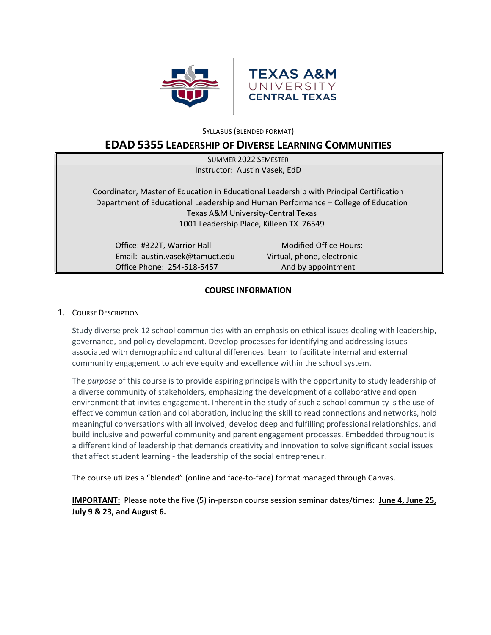



SYLLABUS (BLENDED FORMAT)

# **EDAD 5355 LEADERSHIP OF DIVERSE LEARNING COMMUNITIES**

| <b>SUMMER 2022 SEMESTER</b>                                                             |                            |  |  |
|-----------------------------------------------------------------------------------------|----------------------------|--|--|
| Instructor: Austin Vasek, EdD                                                           |                            |  |  |
|                                                                                         |                            |  |  |
| Coordinator, Master of Education in Educational Leadership with Principal Certification |                            |  |  |
| Department of Educational Leadership and Human Performance - College of Education       |                            |  |  |
| Texas A&M University-Central Texas                                                      |                            |  |  |
| 1001 Leadership Place, Killeen TX 76549                                                 |                            |  |  |
|                                                                                         |                            |  |  |
| Office: #322T, Warrior Hall                                                             | Modified Office Hours:     |  |  |
| Email: austin.vasek@tamuct.edu                                                          | Virtual, phone, electronic |  |  |
| Office Phone: 254-518-5457                                                              | And by appointment         |  |  |

## **COURSE INFORMATION**

## 1. COURSE DESCRIPTION

Study diverse prek-12 school communities with an emphasis on ethical issues dealing with leadership, governance, and policy development. Develop processes for identifying and addressing issues associated with demographic and cultural differences. Learn to facilitate internal and external community engagement to achieve equity and excellence within the school system.

The *purpose* of this course is to provide aspiring principals with the opportunity to study leadership of a diverse community of stakeholders, emphasizing the development of a collaborative and open environment that invites engagement. Inherent in the study of such a school community is the use of effective communication and collaboration, including the skill to read connections and networks, hold meaningful conversations with all involved, develop deep and fulfilling professional relationships, and build inclusive and powerful community and parent engagement processes. Embedded throughout is a different kind of leadership that demands creativity and innovation to solve significant social issues that affect student learning - the leadership of the social entrepreneur.

The course utilizes a "blended" (online and face-to-face) format managed through Canvas.

**IMPORTANT:** Please note the five (5) in-person course session seminar dates/times: **June 4, June 25, July 9 & 23, and August 6.**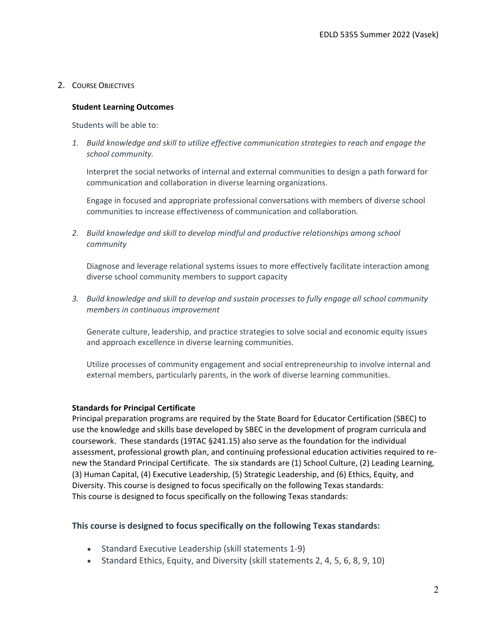# 2. COURSE OBJECTIVES

## **Student Learning Outcomes**

Students will be able to:

*1. Build knowledge and skill to utilize effective communication strategies to reach and engage the school community.*

Interpret the social networks of internal and external communities to design a path forward for communication and collaboration in diverse learning organizations.

Engage in focused and appropriate professional conversations with members of diverse school communities to increase effectiveness of communication and collaboration.

*2. Build knowledge and skill to develop mindful and productive relationships among school community*

Diagnose and leverage relational systems issues to more effectively facilitate interaction among diverse school community members to support capacity

*3. Build knowledge and skill to develop and sustain processes to fully engage all school community members in continuous improvement*

Generate culture, leadership, and practice strategies to solve social and economic equity issues and approach excellence in diverse learning communities.

Utilize processes of community engagement and social entrepreneurship to involve internal and external members, particularly parents, in the work of diverse learning communities.

## **Standards for Principal Certificate**

Principal preparation programs are required by the State Board for Educator Certification (SBEC) to use the knowledge and skills base developed by SBEC in the development of program curricula and coursework. These standards (19TAC §241.15) also serve as the foundation for the individual assessment, professional growth plan, and continuing professional education activities required to renew the Standard Principal Certificate. The six standards are (1) School Culture, (2) Leading Learning, (3) Human Capital, (4) Executive Leadership, (5) Strategic Leadership, and (6) Ethics, Equity, and Diversity. This course is designed to focus specifically on the following Texas standards: This course is designed to focus specifically on the following Texas standards:

## **This course is designed to focus specifically on the following Texas standards:**

- Standard Executive Leadership (skill statements 1-9)
- Standard Ethics, Equity, and Diversity (skill statements 2, 4, 5, 6, 8, 9, 10)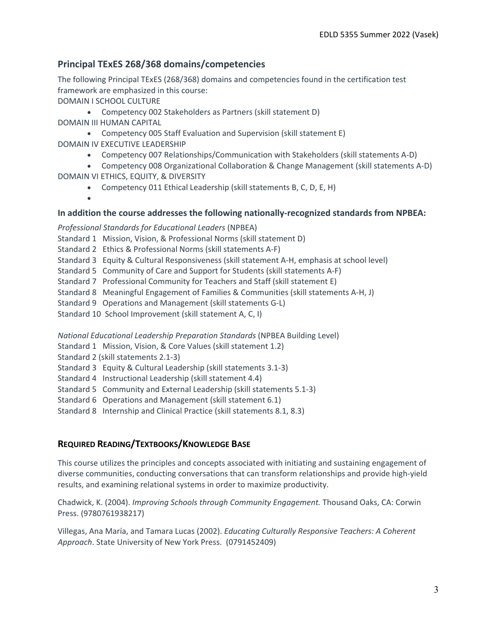# **Principal TExES 268/368 domains/competencies**

The following Principal TExES (268/368) domains and competencies found in the certification test framework are emphasized in this course:

DOMAIN I SCHOOL CULTURE

• Competency 002 Stakeholders as Partners (skill statement D) DOMAIN III HUMAN CAPITAL

- Competency 005 Staff Evaluation and Supervision (skill statement E) DOMAIN IV EXECUTIVE LEADERSHIP
	- Competency 007 Relationships/Communication with Stakeholders (skill statements A-D)
- Competency 008 Organizational Collaboration & Change Management (skill statements A-D) DOMAIN VI ETHICS, EQUITY, & DIVERSITY
	- Competency 011 Ethical Leadership (skill statements B, C, D, E, H)

•

# **In addition the course addresses the following nationally-recognized standards from NPBEA:**

*Professional Standards for Educational Leaders* (NPBEA)

- Standard 1 Mission, Vision, & Professional Norms (skill statement D)
- Standard 2 Ethics & Professional Norms (skill statements A-F)
- Standard 3 Equity & Cultural Responsiveness (skill statement A-H, emphasis at school level)
- Standard 5 Community of Care and Support for Students (skill statements A-F)
- Standard 7 Professional Community for Teachers and Staff (skill statement E)
- Standard 8 Meaningful Engagement of Families & Communities (skill statements A-H, J)
- Standard 9 Operations and Management (skill statements G-L)
- Standard 10 School Improvement (skill statement A, C, I)

*National Educational Leadership Preparation Standards* (NPBEA Building Level)

- Standard 1 Mission, Vision, & Core Values (skill statement 1.2)
- Standard 2 (skill statements 2.1-3)
- Standard 3 Equity & Cultural Leadership (skill statements 3.1-3)
- Standard 4 Instructional Leadership (skill statement 4.4)
- Standard 5 Community and External Leadership (skill statements 5.1-3)
- Standard 6 Operations and Management (skill statement 6.1)
- Standard 8 Internship and Clinical Practice (skill statements 8.1, 8.3)

# **REQUIRED READING/TEXTBOOKS/KNOWLEDGE BASE**

This course utilizes the principles and concepts associated with initiating and sustaining engagement of diverse communities, conducting conversations that can transform relationships and provide high-yield results, and examining relational systems in order to maximize productivity.

Chadwick, K. (2004). *Improving Schools through Community Engagement.* Thousand Oaks, CA: Corwin Press. (9780761938217)

Villegas, Ana María, and Tamara Lucas (2002). *Educating Culturally Responsive Teachers: A Coherent Approach*. State University of New York Press. (0791452409)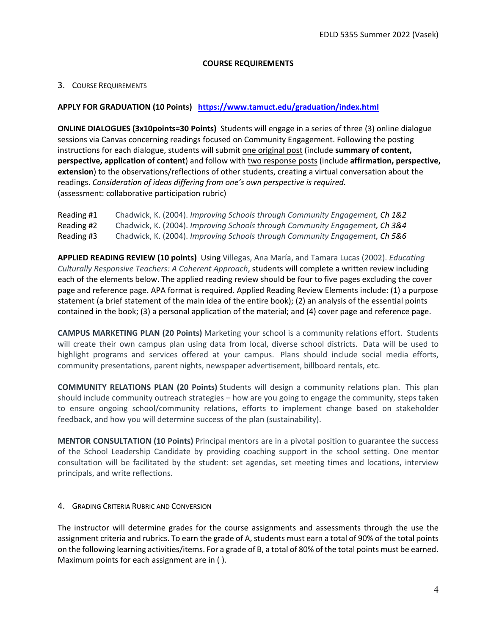# **COURSE REQUIREMENTS**

# 3. COURSE REQUIREMENTS

# **APPLY FOR GRADUATION (10 Points) <https://www.tamuct.edu/graduation/index.html>**

**ONLINE DIALOGUES (3x10points=30 Points)** Students will engage in a series of three (3) online dialogue sessions via Canvas concerning readings focused on Community Engagement. Following the posting instructions for each dialogue, students will submit one original post (include **summary of content, perspective, application of content**) and follow with two response posts (include **affirmation, perspective, extension**) to the observations/reflections of other students, creating a virtual conversation about the readings. *Consideration of ideas differing from one's own perspective is required.* (assessment: collaborative participation rubric)

| Reading #1 | Chadwick, K. (2004). Improving Schools through Community Engagement, Ch 1&2 |
|------------|-----------------------------------------------------------------------------|
| Reading #2 | Chadwick, K. (2004). Improving Schools through Community Engagement, Ch 3&4 |
| Reading #3 | Chadwick, K. (2004). Improving Schools through Community Engagement, Ch 5&6 |

**APPLIED READING REVIEW (10 points)** Using Villegas, Ana María, and Tamara Lucas (2002). *Educating Culturally Responsive Teachers: A Coherent Approach*, students will complete a written review including each of the elements below. The applied reading review should be four to five pages excluding the cover page and reference page. APA format is required. Applied Reading Review Elements include: (1) a purpose statement (a brief statement of the main idea of the entire book); (2) an analysis of the essential points contained in the book; (3) a personal application of the material; and (4) cover page and reference page.

**CAMPUS MARKETING PLAN (20 Points)** Marketing your school is a community relations effort. Students will create their own campus plan using data from local, diverse school districts. Data will be used to highlight programs and services offered at your campus. Plans should include social media efforts, community presentations, parent nights, newspaper advertisement, billboard rentals, etc.

**COMMUNITY RELATIONS PLAN (20 Points)** Students will design a community relations plan. This plan should include community outreach strategies – how are you going to engage the community, steps taken to ensure ongoing school/community relations, efforts to implement change based on stakeholder feedback, and how you will determine success of the plan (sustainability).

**MENTOR CONSULTATION (10 Points)** Principal mentors are in a pivotal position to guarantee the success of the School Leadership Candidate by providing coaching support in the school setting. One mentor consultation will be facilitated by the student: set agendas, set meeting times and locations, interview principals, and write reflections.

4. GRADING CRITERIA RUBRIC AND CONVERSION

The instructor will determine grades for the course assignments and assessments through the use the assignment criteria and rubrics. To earn the grade of A, students must earn a total of 90% of the total points on the following learning activities/items. For a grade of B, a total of 80% of the total points must be earned. Maximum points for each assignment are in ( ).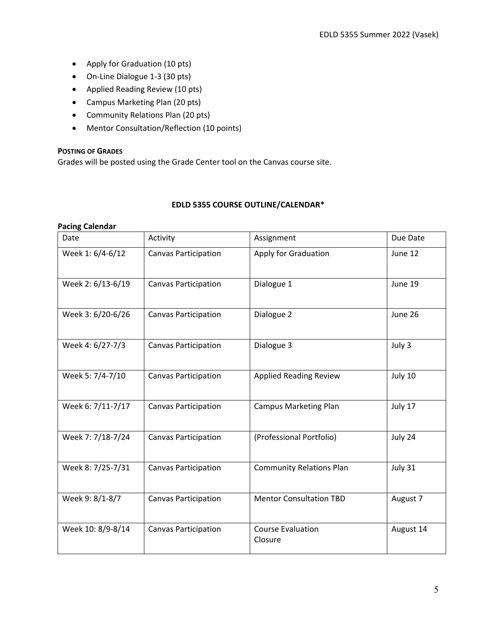- Apply for Graduation (10 pts)
- On-Line Dialogue 1-3 (30 pts)
- Applied Reading Review (10 pts)
- Campus Marketing Plan (20 pts)
- Community Relations Plan (20 pts)
- Mentor Consultation/Reflection (10 points)

#### **POSTING OF GRADES**

Grades will be posted using the Grade Center tool on the Canvas course site.

## **EDLD 5355 COURSE OUTLINE/CALENDAR\***

# **Pacing Calendar**

| Date              | Activity                    | Assignment                          | Due Date  |
|-------------------|-----------------------------|-------------------------------------|-----------|
| Week 1: 6/4-6/12  | <b>Canvas Participation</b> | Apply for Graduation                | June 12   |
| Week 2: 6/13-6/19 | <b>Canvas Participation</b> | Dialogue 1                          | June 19   |
| Week 3: 6/20-6/26 | <b>Canvas Participation</b> | Dialogue 2                          | June 26   |
| Week 4: 6/27-7/3  | <b>Canvas Participation</b> | Dialogue 3                          | July 3    |
| Week 5: 7/4-7/10  | <b>Canvas Participation</b> | <b>Applied Reading Review</b>       | July 10   |
| Week 6: 7/11-7/17 | <b>Canvas Participation</b> | <b>Campus Marketing Plan</b>        | July 17   |
| Week 7: 7/18-7/24 | <b>Canvas Participation</b> | (Professional Portfolio)            | July 24   |
| Week 8: 7/25-7/31 | <b>Canvas Participation</b> | <b>Community Relations Plan</b>     | July 31   |
| Week 9: 8/1-8/7   | <b>Canvas Participation</b> | <b>Mentor Consultation TBD</b>      | August 7  |
| Week 10: 8/9-8/14 | <b>Canvas Participation</b> | <b>Course Evaluation</b><br>Closure | August 14 |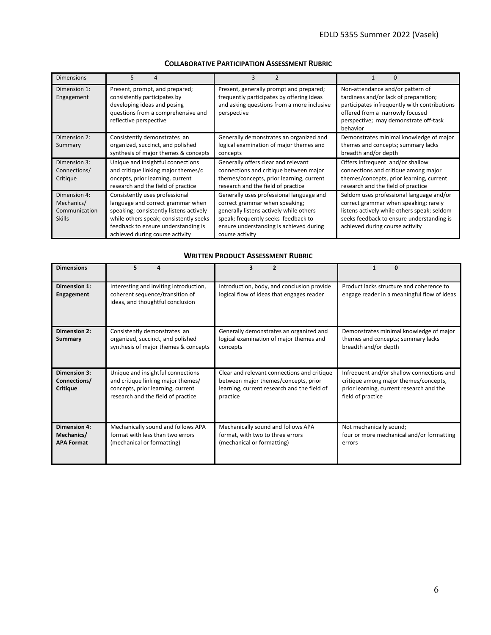| <b>Dimensions</b>                                            | 5                                                                                                                                                                                                                                  | 3                                                                                                                                                                                                                          |                                                                                                                                                                                                                   |
|--------------------------------------------------------------|------------------------------------------------------------------------------------------------------------------------------------------------------------------------------------------------------------------------------------|----------------------------------------------------------------------------------------------------------------------------------------------------------------------------------------------------------------------------|-------------------------------------------------------------------------------------------------------------------------------------------------------------------------------------------------------------------|
| Dimension 1:<br>Engagement                                   | Present, prompt, and prepared;<br>consistently participates by<br>developing ideas and posing<br>questions from a comprehensive and<br>reflective perspective                                                                      | Present, generally prompt and prepared;<br>frequently participates by offering ideas<br>and asking questions from a more inclusive<br>perspective                                                                          | Non-attendance and/or pattern of<br>tardiness and/or lack of preparation;<br>participates infrequently with contributions<br>offered from a narrowly focused<br>perspective; may demonstrate off-task<br>behavior |
| Dimension 2:<br>Summary                                      | Consistently demonstrates an<br>organized, succinct, and polished<br>synthesis of major themes & concepts                                                                                                                          | Generally demonstrates an organized and<br>logical examination of major themes and<br>concepts                                                                                                                             | Demonstrates minimal knowledge of major<br>themes and concepts; summary lacks<br>breadth and/or depth                                                                                                             |
| Dimension 3:<br>Connections/<br>Critique                     | Unique and insightful connections<br>and critique linking major themes/c<br>oncepts, prior learning, current<br>research and the field of practice                                                                                 | Generally offers clear and relevant<br>connections and critique between major<br>themes/concepts, prior learning, current<br>research and the field of practice                                                            | Offers infrequent and/or shallow<br>connections and critique among major<br>themes/concepts, prior learning, current<br>research and the field of practice                                                        |
| Dimension 4:<br>Mechanics/<br>Communication<br><b>Skills</b> | Consistently uses professional<br>language and correct grammar when<br>speaking; consistently listens actively<br>while others speak; consistently seeks<br>feedback to ensure understanding is<br>achieved during course activity | Generally uses professional language and<br>correct grammar when speaking;<br>generally listens actively while others<br>speak; frequently seeks feedback to<br>ensure understanding is achieved during<br>course activity | Seldom uses professional language and/or<br>correct grammar when speaking; rarely<br>listens actively while others speak; seldom<br>seeks feedback to ensure understanding is<br>achieved during course activity  |

## **COLLABORATIVE PARTICIPATION ASSESSMENT RUBRIC**

#### **WRITTEN PRODUCT ASSESSMENT RUBRIC**

| <b>Dimensions</b>                                      | 5<br>Δ                                                                                                                                             | 3<br>$\overline{2}$                                                                                                                            | 1<br>n                                                                                                                                              |
|--------------------------------------------------------|----------------------------------------------------------------------------------------------------------------------------------------------------|------------------------------------------------------------------------------------------------------------------------------------------------|-----------------------------------------------------------------------------------------------------------------------------------------------------|
| Dimension 1:<br>Engagement                             | Interesting and inviting introduction,<br>coherent sequence/transition of<br>ideas, and thoughtful conclusion                                      | Introduction, body, and conclusion provide<br>logical flow of ideas that engages reader                                                        | Product lacks structure and coherence to<br>engage reader in a meaningful flow of ideas                                                             |
| <b>Dimension 2:</b><br>Summary                         | Consistently demonstrates an<br>organized, succinct, and polished<br>synthesis of major themes & concepts                                          | Generally demonstrates an organized and<br>logical examination of major themes and<br>concepts                                                 | Demonstrates minimal knowledge of major<br>themes and concepts; summary lacks<br>breadth and/or depth                                               |
| <b>Dimension 3:</b><br>Connections/<br><b>Critique</b> | Unique and insightful connections<br>and critique linking major themes/<br>concepts, prior learning, current<br>research and the field of practice | Clear and relevant connections and critique<br>between major themes/concepts, prior<br>learning, current research and the field of<br>practice | Infrequent and/or shallow connections and<br>critique among major themes/concepts,<br>prior learning, current research and the<br>field of practice |
| <b>Dimension 4:</b><br>Mechanics/<br><b>APA Format</b> | Mechanically sound and follows APA<br>format with less than two errors<br>(mechanical or formatting)                                               | Mechanically sound and follows APA<br>format, with two to three errors<br>(mechanical or formatting)                                           | Not mechanically sound;<br>four or more mechanical and/or formatting<br>errors                                                                      |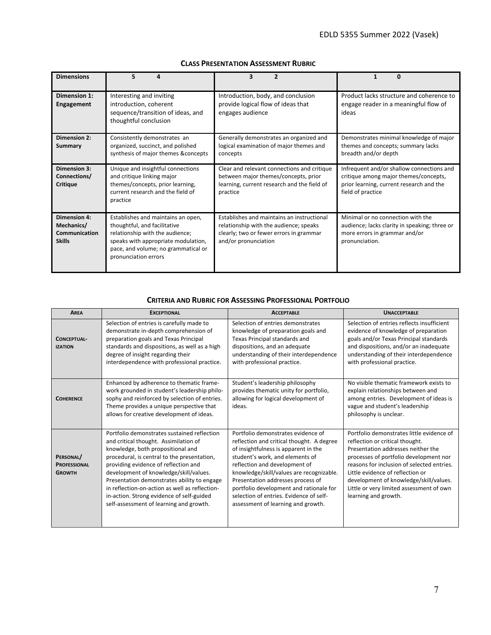| <b>Dimensions</b>                                                   |                                                                                                                                                                                                             | 3                                                                                                                                                       | Ω                                                                                                                                                   |
|---------------------------------------------------------------------|-------------------------------------------------------------------------------------------------------------------------------------------------------------------------------------------------------------|---------------------------------------------------------------------------------------------------------------------------------------------------------|-----------------------------------------------------------------------------------------------------------------------------------------------------|
| Dimension 1:<br><b>Engagement</b>                                   | Interesting and inviting<br>introduction, coherent<br>sequence/transition of ideas, and<br>thoughtful conclusion                                                                                            | Introduction, body, and conclusion<br>provide logical flow of ideas that<br>engages audience                                                            | Product lacks structure and coherence to<br>engage reader in a meaningful flow of<br>ideas                                                          |
| <b>Dimension 2:</b><br>Summary                                      | Consistently demonstrates an<br>organized, succinct, and polished<br>synthesis of major themes & concepts                                                                                                   | Generally demonstrates an organized and<br>logical examination of major themes and<br>concepts                                                          | Demonstrates minimal knowledge of major<br>themes and concepts; summary lacks<br>breadth and/or depth                                               |
| <b>Dimension 3:</b><br>Connections/<br><b>Critique</b>              | Unique and insightful connections<br>and critique linking major<br>themes/concepts, prior learning,<br>current research and the field of<br>practice                                                        | Clear and relevant connections and critique<br>between major themes/concepts, prior<br>learning, current research and the field of<br>practice          | Infrequent and/or shallow connections and<br>critique among major themes/concepts,<br>prior learning, current research and the<br>field of practice |
| <b>Dimension 4:</b><br>Mechanics/<br>Communication<br><b>Skills</b> | Establishes and maintains an open,<br>thoughtful, and facilitative<br>relationship with the audience;<br>speaks with appropriate modulation,<br>pace, and volume; no grammatical or<br>pronunciation errors | Establishes and maintains an instructional<br>relationship with the audience; speaks<br>clearly; two or fewer errors in grammar<br>and/or pronunciation | Minimal or no connection with the<br>audience; lacks clarity in speaking; three or<br>more errors in grammar and/or<br>pronunciation.               |

#### **CLASS PRESENTATION ASSESSMENT RUBRIC**

#### **CRITERIA AND RUBRIC FOR ASSESSING PROFESSIONAL PORTFOLIO**

| <b>AREA</b>                                       | <b>EXCEPTIONAL</b>                                                                                                                                                                                                                                                                                                                                                                                                                                  | <b>ACCEPTABLE</b>                                                                                                                                                                                                                                                                                                                                                                                        | <b>UNACCEPTABLE</b>                                                                                                                                                                                                                                                                                                                                          |
|---------------------------------------------------|-----------------------------------------------------------------------------------------------------------------------------------------------------------------------------------------------------------------------------------------------------------------------------------------------------------------------------------------------------------------------------------------------------------------------------------------------------|----------------------------------------------------------------------------------------------------------------------------------------------------------------------------------------------------------------------------------------------------------------------------------------------------------------------------------------------------------------------------------------------------------|--------------------------------------------------------------------------------------------------------------------------------------------------------------------------------------------------------------------------------------------------------------------------------------------------------------------------------------------------------------|
| <b>CONCEPTUAL-</b><br><b>IZATION</b>              | Selection of entries is carefully made to<br>demonstrate in-depth comprehension of<br>preparation goals and Texas Principal<br>standards and dispositions, as well as a high<br>degree of insight regarding their<br>interdependence with professional practice.                                                                                                                                                                                    | Selection of entries demonstrates<br>knowledge of preparation goals and<br>Texas Principal standards and<br>dispositions, and an adequate<br>understanding of their interdependence<br>with professional practice.                                                                                                                                                                                       | Selection of entries reflects insufficient<br>evidence of knowledge of preparation<br>goals and/or Texas Principal standards<br>and dispositions, and/or an inadequate<br>understanding of their interdependence<br>with professional practice.                                                                                                              |
| <b>COHERENCE</b>                                  | Enhanced by adherence to thematic frame-<br>work grounded in student's leadership philo-<br>sophy and reinforced by selection of entries.<br>Theme provides a unique perspective that<br>allows for creative development of ideas.                                                                                                                                                                                                                  | Student's leadership philosophy<br>provides thematic unity for portfolio,<br>allowing for logical development of<br>ideas.                                                                                                                                                                                                                                                                               | No visible thematic framework exists to<br>explain relationships between and<br>among entries. Development of ideas is<br>vague and student's leadership<br>philosophy is unclear.                                                                                                                                                                           |
| PERSONAL/<br><b>PROFESSIONAL</b><br><b>GROWTH</b> | Portfolio demonstrates sustained reflection<br>and critical thought. Assimilation of<br>knowledge, both propositional and<br>procedural, is central to the presentation,<br>providing evidence of reflection and<br>development of knowledge/skill/values.<br>Presentation demonstrates ability to engage<br>in reflection-on-action as well as reflection-<br>in-action. Strong evidence of self-guided<br>self-assessment of learning and growth. | Portfolio demonstrates evidence of<br>reflection and critical thought. A degree<br>of insightfulness is apparent in the<br>student's work, and elements of<br>reflection and development of<br>knowledge/skill/values are recognizable.<br>Presentation addresses process of<br>portfolio development and rationale for<br>selection of entries. Evidence of self-<br>assessment of learning and growth. | Portfolio demonstrates little evidence of<br>reflection or critical thought.<br>Presentation addresses neither the<br>processes of portfolio development nor<br>reasons for inclusion of selected entries.<br>Little evidence of reflection or<br>development of knowledge/skill/values.<br>Little or very limited assessment of own<br>learning and growth. |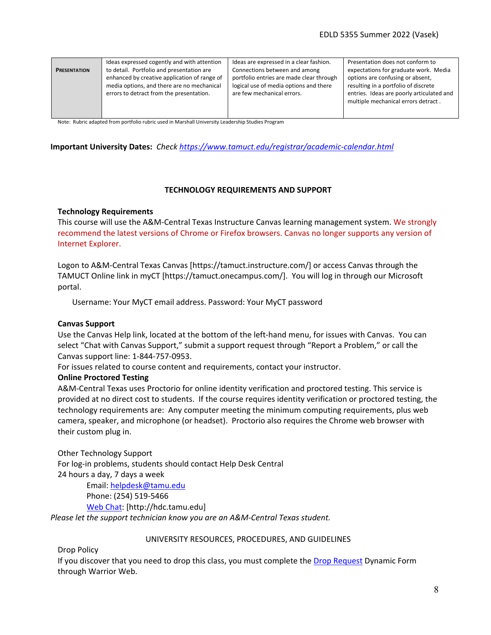| <b>PRESENTATION</b> | Ideas expressed cogently and with attention<br>to detail. Portfolio and presentation are<br>enhanced by creative application of range of<br>media options, and there are no mechanical<br>errors to detract from the presentation. | Ideas are expressed in a clear fashion.<br>Connections between and among<br>portfolio entries are made clear through<br>logical use of media options and there<br>are few mechanical errors. | Presentation does not conform to<br>expectations for graduate work. Media<br>options are confusing or absent,<br>resulting in a portfolio of discrete<br>entries. Ideas are poorly articulated and<br>multiple mechanical errors detract. |
|---------------------|------------------------------------------------------------------------------------------------------------------------------------------------------------------------------------------------------------------------------------|----------------------------------------------------------------------------------------------------------------------------------------------------------------------------------------------|-------------------------------------------------------------------------------------------------------------------------------------------------------------------------------------------------------------------------------------------|
|---------------------|------------------------------------------------------------------------------------------------------------------------------------------------------------------------------------------------------------------------------------|----------------------------------------------------------------------------------------------------------------------------------------------------------------------------------------------|-------------------------------------------------------------------------------------------------------------------------------------------------------------------------------------------------------------------------------------------|

Note: Rubric adapted from portfolio rubric used in Marshall University Leadership Studies Program

#### **Important University Dates:** *Check<https://www.tamuct.edu/registrar/academic-calendar.html>*

#### **TECHNOLOGY REQUIREMENTS AND SUPPORT**

#### **Technology Requirements**

This course will use the A&M-Central Texas Instructure Canvas learning management system. We strongly recommend the latest versions of Chrome or Firefox browsers. Canvas no longer supports any version of Internet Explorer.

Logon to A&M-Central Texas Canvas [https://tamuct.instructure.com/] or access Canvas through the TAMUCT Online link in myCT [https://tamuct.onecampus.com/]. You will log in through our Microsoft portal.

Username: Your MyCT email address. Password: Your MyCT password

#### **Canvas Support**

Use the Canvas Help link, located at the bottom of the left-hand menu, for issues with Canvas. You can select "Chat with Canvas Support," submit a support request through "Report a Problem," or call the Canvas support line: 1-844-757-0953.

For issues related to course content and requirements, contact your instructor.

#### **Online Proctored Testing**

A&M-Central Texas uses Proctorio for online identity verification and proctored testing. This service is provided at no direct cost to students. If the course requires identity verification or proctored testing, the technology requirements are: Any computer meeting the minimum computing requirements, plus web camera, speaker, and microphone (or headset). Proctorio also requires the Chrome web browser with their custom plug in.

Other Technology Support

For log-in problems, students should contact Help Desk Central 24 hours a day, 7 days a week

> Email: [helpdesk@tamu.edu](mailto:helpdesk@tamu.edu) Phone: (254) 519-5466 [Web Chat:](http://hdc.tamu.edu/) [http://hdc.tamu.edu]

*Please let the support technician know you are an A&M-Central Texas student.*

#### UNIVERSITY RESOURCES, PROCEDURES, AND GUIDELINES

Drop Policy

If you discover that you need to drop this class, you must complete the [Drop Request](https://dynamicforms.ngwebsolutions.com/casAuthentication.ashx?InstID=eaed95b9-f2be-45f3-a37d-46928168bc10&targetUrl=https%3A%2F%2Fdynamicforms.ngwebsolutions.com%2FSubmit%2FForm%2FStart%2F53b8369e-0502-4f36-be43-f02a4202f612) Dynamic Form through Warrior Web.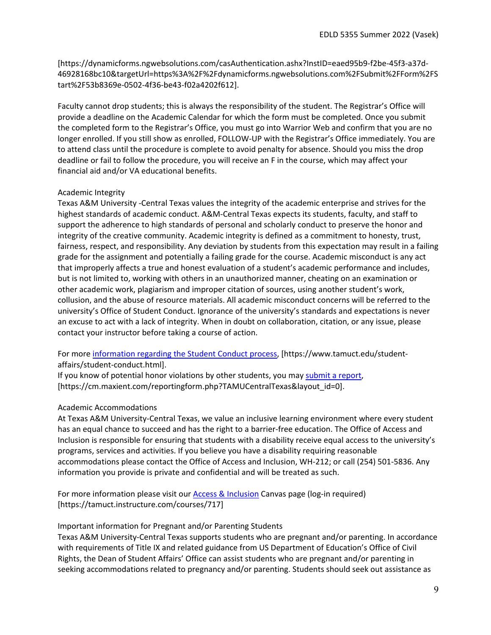[https://dynamicforms.ngwebsolutions.com/casAuthentication.ashx?InstID=eaed95b9-f2be-45f3-a37d-46928168bc10&targetUrl=https%3A%2F%2Fdynamicforms.ngwebsolutions.com%2FSubmit%2FForm%2FS tart%2F53b8369e-0502-4f36-be43-f02a4202f612].

Faculty cannot drop students; this is always the responsibility of the student. The Registrar's Office will provide a deadline on the Academic Calendar for which the form must be completed. Once you submit the completed form to the Registrar's Office, you must go into Warrior Web and confirm that you are no longer enrolled. If you still show as enrolled, FOLLOW-UP with the Registrar's Office immediately. You are to attend class until the procedure is complete to avoid penalty for absence. Should you miss the drop deadline or fail to follow the procedure, you will receive an F in the course, which may affect your financial aid and/or VA educational benefits.

# Academic Integrity

Texas A&M University -Central Texas values the integrity of the academic enterprise and strives for the highest standards of academic conduct. A&M-Central Texas expects its students, faculty, and staff to support the adherence to high standards of personal and scholarly conduct to preserve the honor and integrity of the creative community. Academic integrity is defined as a commitment to honesty, trust, fairness, respect, and responsibility. Any deviation by students from this expectation may result in a failing grade for the assignment and potentially a failing grade for the course. Academic misconduct is any act that improperly affects a true and honest evaluation of a student's academic performance and includes, but is not limited to, working with others in an unauthorized manner, cheating on an examination or other academic work, plagiarism and improper citation of sources, using another student's work, collusion, and the abuse of resource materials. All academic misconduct concerns will be referred to the university's Office of Student Conduct. Ignorance of the university's standards and expectations is never an excuse to act with a lack of integrity. When in doubt on collaboration, citation, or any issue, please contact your instructor before taking a course of action.

For mor[e information regarding the Student Conduct process,](https://www.tamuct.edu/student-affairs/student-conduct.html) [https://www.tamuct.edu/studentaffairs/student-conduct.html].

If you know of potential honor violations by other students, you may [submit a report,](https://cm.maxient.com/reportingform.php?TAMUCentralTexas&layout_id=0) [https://cm.maxient.com/reportingform.php?TAMUCentralTexas&layout\_id=0].

# Academic Accommodations

At Texas A&M University-Central Texas, we value an inclusive learning environment where every student has an equal chance to succeed and has the right to a barrier-free education. The Office of Access and Inclusion is responsible for ensuring that students with a disability receive equal access to the university's programs, services and activities. If you believe you have a disability requiring reasonable accommodations please contact the Office of Access and Inclusion, WH-212; or call (254) 501-5836. Any information you provide is private and confidential and will be treated as such.

For more information please visit our [Access & Inclusion](https://tamuct.instructure.com/courses/717) Canvas page (log-in required) [https://tamuct.instructure.com/courses/717]

## Important information for Pregnant and/or Parenting Students

Texas A&M University-Central Texas supports students who are pregnant and/or parenting. In accordance with requirements of Title IX and related guidance from US Department of Education's Office of Civil Rights, the Dean of Student Affairs' Office can assist students who are pregnant and/or parenting in seeking accommodations related to pregnancy and/or parenting. Students should seek out assistance as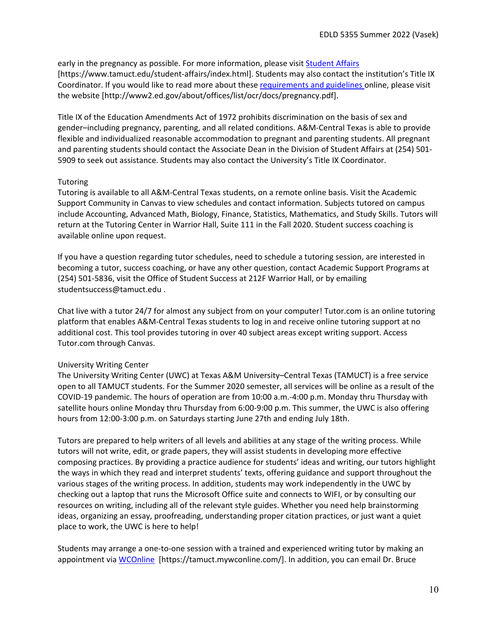early in the pregnancy as possible. For more information, please visi[t Student Affairs](https://www.tamuct.edu/student-affairs/index.html) [https://www.tamuct.edu/student-affairs/index.html]. Students may also contact the institution's Title IX Coordinator. If you would like to read more about these [requirements and guidelines](http://www2.ed.gov/about/offices/list/ocr/docs/pregnancy.pdf) online, please visit the website [http://www2.ed.gov/about/offices/list/ocr/docs/pregnancy.pdf].

Title IX of the Education Amendments Act of 1972 prohibits discrimination on the basis of sex and gender–including pregnancy, parenting, and all related conditions. A&M-Central Texas is able to provide flexible and individualized reasonable accommodation to pregnant and parenting students. All pregnant and parenting students should contact the Associate Dean in the Division of Student Affairs at (254) 501- 5909 to seek out assistance. Students may also contact the University's Title IX Coordinator.

# **Tutoring**

Tutoring is available to all A&M-Central Texas students, on a remote online basis. Visit the Academic Support Community in Canvas to view schedules and contact information. Subjects tutored on campus include Accounting, Advanced Math, Biology, Finance, Statistics, Mathematics, and Study Skills. Tutors will return at the Tutoring Center in Warrior Hall, Suite 111 in the Fall 2020. Student success coaching is available online upon request.

If you have a question regarding tutor schedules, need to schedule a tutoring session, are interested in becoming a tutor, success coaching, or have any other question, contact Academic Support Programs at (254) 501-5836, visit the Office of Student Success at 212F Warrior Hall, or by emailing studentsuccess@tamuct.edu .

Chat live with a tutor 24/7 for almost any subject from on your computer! Tutor.com is an online tutoring platform that enables A&M-Central Texas students to log in and receive online tutoring support at no additional cost. This tool provides tutoring in over 40 subject areas except writing support. Access Tutor.com through Canvas.

# University Writing Center

The University Writing Center (UWC) at Texas A&M University–Central Texas (TAMUCT) is a free service open to all TAMUCT students. For the Summer 2020 semester, all services will be online as a result of the COVID-19 pandemic. The hours of operation are from 10:00 a.m.-4:00 p.m. Monday thru Thursday with satellite hours online Monday thru Thursday from 6:00-9:00 p.m. This summer, the UWC is also offering hours from 12:00-3:00 p.m. on Saturdays starting June 27th and ending July 18th.

Tutors are prepared to help writers of all levels and abilities at any stage of the writing process. While tutors will not write, edit, or grade papers, they will assist students in developing more effective composing practices. By providing a practice audience for students' ideas and writing, our tutors highlight the ways in which they read and interpret students' texts, offering guidance and support throughout the various stages of the writing process. In addition, students may work independently in the UWC by checking out a laptop that runs the Microsoft Office suite and connects to WIFI, or by consulting our resources on writing, including all of the relevant style guides. Whether you need help brainstorming ideas, organizing an essay, proofreading, understanding proper citation practices, or just want a quiet place to work, the UWC is here to help!

Students may arrange a one-to-one session with a trained and experienced writing tutor by making an appointment via [WCOnline](https://tamuct.mywconline.com/) [https://tamuct.mywconline.com/]. In addition, you can email Dr. Bruce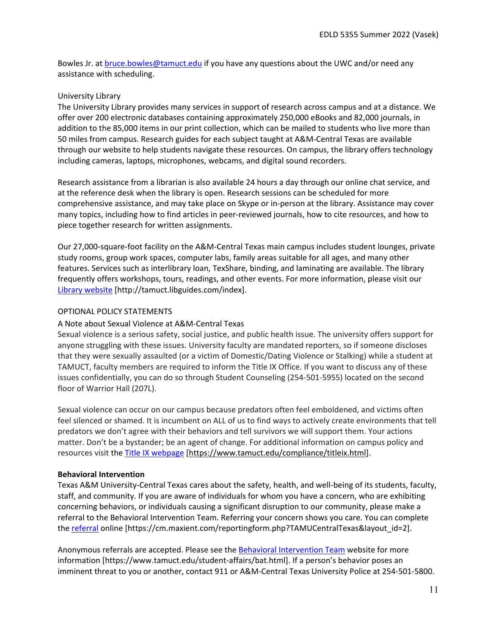Bowles Jr. at [bruce.bowles@tamuct.edu](mailto:bruce.bowles@tamuct.edu) if you have any questions about the UWC and/or need any assistance with scheduling.

#### University Library

The University Library provides many services in support of research across campus and at a distance. We offer over 200 electronic databases containing approximately 250,000 eBooks and 82,000 journals, in addition to the 85,000 items in our print collection, which can be mailed to students who live more than 50 miles from campus. Research guides for each subject taught at A&M-Central Texas are available through our website to help students navigate these resources. On campus, the library offers technology including cameras, laptops, microphones, webcams, and digital sound recorders.

Research assistance from a librarian is also available 24 hours a day through our online chat service, and at the reference desk when the library is open. Research sessions can be scheduled for more comprehensive assistance, and may take place on Skype or in-person at the library. Assistance may cover many topics, including how to find articles in peer-reviewed journals, how to cite resources, and how to piece together research for written assignments.

Our 27,000-square-foot facility on the A&M-Central Texas main campus includes student lounges, private study rooms, group work spaces, computer labs, family areas suitable for all ages, and many other features. Services such as interlibrary loan, TexShare, binding, and laminating are available. The library frequently offers workshops, tours, readings, and other events. For more information, please visit our [Library website](https://tamuct.libguides.com/index) [http://tamuct.libguides.com/index].

#### OPTIONAL POLICY STATEMENTS

## A Note about Sexual Violence at A&M-Central Texas

Sexual violence is a serious safety, social justice, and public health issue. The university offers support for anyone struggling with these issues. University faculty are mandated reporters, so if someone discloses that they were sexually assaulted (or a victim of Domestic/Dating Violence or Stalking) while a student at TAMUCT, faculty members are required to inform the Title IX Office. If you want to discuss any of these issues confidentially, you can do so through Student Counseling (254-501-5955) located on the second floor of Warrior Hall (207L).

Sexual violence can occur on our campus because predators often feel emboldened, and victims often feel silenced or shamed. It is incumbent on ALL of us to find ways to actively create environments that tell predators we don't agree with their behaviors and tell survivors we will support them. Your actions matter. Don't be a bystander; be an agent of change. For additional information on campus policy and resources visit the [Title IX webpage](https://www.tamuct.edu/compliance/titleix.html) [\[https://www.tamuct.edu/compliance/titleix.html\]](https://www.tamuct.edu/compliance/titleix.html).

# **Behavioral Intervention**

Texas A&M University-Central Texas cares about the safety, health, and well-being of its students, faculty, staff, and community. If you are aware of individuals for whom you have a concern, who are exhibiting concerning behaviors, or individuals causing a significant disruption to our community, please make a referral to the Behavioral Intervention Team. Referring your concern shows you care. You can complete the [referral](https://cm.maxient.com/reportingform.php?TAMUCentralTexas&layout_id=2) online [https://cm.maxient.com/reportingform.php?TAMUCentralTexas&layout\_id=2].

Anonymous referrals are accepted. Please see th[e Behavioral Intervention Team](https://www.tamuct.edu/student-affairs/bat.html) website for more information [https://www.tamuct.edu/student-affairs/bat.html]. If a person's behavior poses an imminent threat to you or another, contact 911 or A&M-Central Texas University Police at 254-501-5800.